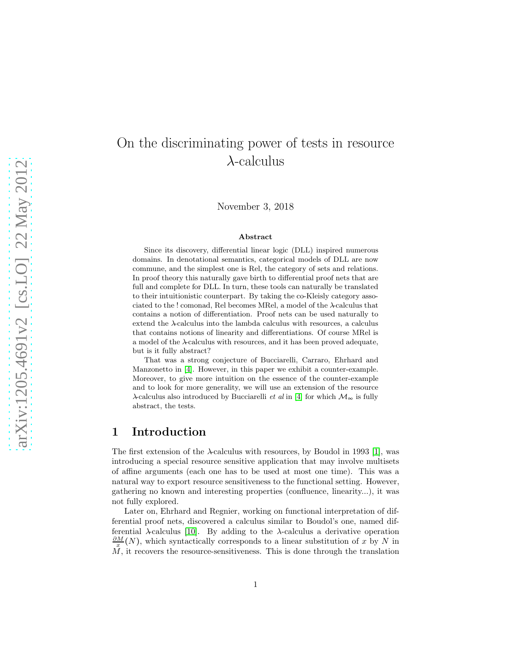# On the discriminating power of tests in resource  $\lambda$ -calculus

November 3, 2018

#### Abstract

Since its discovery, differential linear logic (DLL) inspired numerous domains. In denotational semantics, categorical models of DLL are now commune, and the simplest one is Rel, the category of sets and relations. In proof theory this naturally gave birth to differential proof nets that are full and complete for DLL. In turn, these tools can naturally be translated to their intuitionistic counterpart. By taking the co-Kleisly category associated to the ! comonad, Rel becomes MRel, a model of the  $\lambda$ -calculus that contains a notion of differentiation. Proof nets can be used naturally to extend the  $\lambda$ -calculus into the lambda calculus with resources, a calculus that contains notions of linearity and differentiations. Of course MRel is a model of the  $\lambda$ -calculus with resources, and it has been proved adequate, but is it fully abstract?

That was a strong conjecture of Bucciarelli, Carraro, Ehrhard and Manzonetto in [\[4\]](#page-7-0). However, in this paper we exhibit a counter-example. Moreover, to give more intuition on the essence of the counter-example and to look for more generality, we will use an extension of the resource  $\lambda$ -calculus also introduced by Bucciarelli *et al* in [\[4\]](#page-7-0) for which  $M_{\infty}$  is fully abstract, the tests.

# 1 Introduction

The first extension of the  $\lambda$ -calculus with resources, by Boudol in 1993 [\[1\]](#page-6-0), was introducing a special resource sensitive application that may involve multisets of affine arguments (each one has to be used at most one time). This was a natural way to export resource sensitiveness to the functional setting. However, gathering no known and interesting properties (confluence, linearity...), it was not fully explored.

Later on, Ehrhard and Regnier, working on functional interpretation of differential proof nets, discovered a calculus similar to Boudol's one, named differential  $\lambda$ -calculus [\[10\]](#page-7-1). By adding to the  $\lambda$ -calculus a derivative operation  $\frac{\partial M}{\partial x}(N)$ , which syntactically corresponds to a linear substitution of x by N in  $\tilde{M}$ , it recovers the resource-sensitiveness. This is done through the translation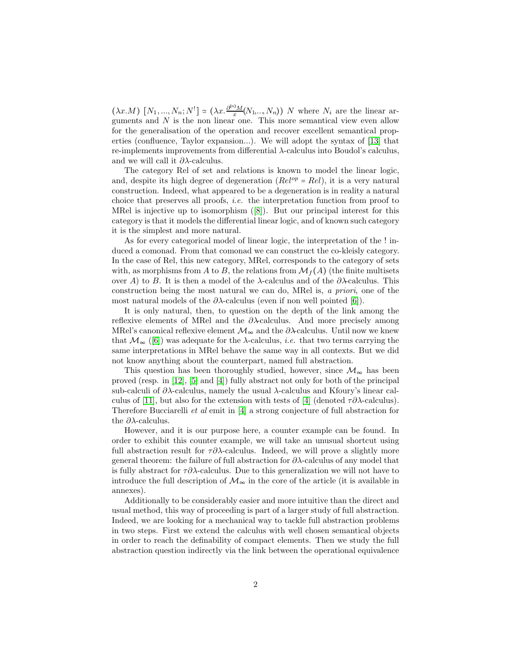$(\lambda x.M)$   $[N_1,...,N_n; N^!] \simeq (\lambda x.\frac{\partial^{n_1}M}{x}(N_1,...,N_n)) N$  where  $N_i$  are the linear arguments and  $N$  is the non-linear one. This more semantical view even allow for the generalisation of the operation and recover excellent semantical properties (confluence, Taylor expansion...). We will adopt the syntax of [\[13\]](#page-7-2) that re-implements improvements from differential  $\lambda$ -calculus into Boudol's calculus, and we will call it  $\partial \lambda$ -calculus.

The category Rel of set and relations is known to model the linear logic, and, despite its high degree of degeneration ( $Rel^{op} = Rel$ ), it is a very natural construction. Indeed, what appeared to be a degeneration is in reality a natural choice that preserves all proofs, i.e. the interpretation function from proof to MRel is injective up to isomorphism([\[8\]](#page-7-3)). But our principal interest for this category is that it models the differential linear logic, and of known such category it is the simplest and more natural.

As for every categorical model of linear logic, the interpretation of the ! induced a comonad. From that comonad we can construct the co-kleisly category. In the case of Rel, this new category, MRel, corresponds to the category of sets with, as morphisms from A to B, the relations from  $\mathcal{M}_f(A)$  (the finite multisets over A) to B. It is then a model of the  $\lambda$ -calculus and of the  $\partial \lambda$ -calculus. This construction being the most natural we can do, MRel is, a priori, one of the most natural models of the  $\partial \lambda$ -calculus (even if non well pointed [\[6\]](#page-7-4)).

It is only natural, then, to question on the depth of the link among the reflexive elements of MRel and the  $\partial \lambda$ -calculus. And more precisely among MRel's canonical reflexive element  $\mathcal{M}_{\infty}$  and the  $\partial \lambda$ -calculus. Until now we knew that  $\mathcal{M}_{\infty}$  ([\[6\]](#page-7-4)) was adequate for the  $\lambda$ -calculus, *i.e.* that two terms carrying the same interpretations in MRel behave the same way in all contexts. But we did not know anything about the counterpart, named full abstraction.

This question has been thoroughly studied, however, since  $\mathcal{M}_{\infty}$  has been proved (resp. in [\[12\]](#page-7-5), [\[5\]](#page-7-6) and [\[4\]](#page-7-0)) fully abstract not only for both of the principal sub-calculi of  $\partial \lambda$ -calculus, namely the usual  $\lambda$ -calculus and Kfoury's linear cal-culus of [\[11\]](#page-7-7), but also for the extension with tests of [\[4\]](#page-7-0) (denoted  $\tau \partial \lambda$ -calculus). Therefore Bucciarelli et al emit in [\[4\]](#page-7-0) a strong conjecture of full abstraction for the  $\partial \lambda$ -calculus.

However, and it is our purpose here, a counter example can be found. In order to exhibit this counter example, we will take an unusual shortcut using full abstraction result for  $\tau \partial \lambda$ -calculus. Indeed, we will prove a slightly more general theorem: the failure of full abstraction for  $\partial \lambda$ -calculus of any model that is fully abstract for τ∂λ-calculus. Due to this generalization we will not have to introduce the full description of  $\mathcal{M}_{\infty}$  in the core of the article (it is available in annexes).

Additionally to be considerably easier and more intuitive than the direct and usual method, this way of proceeding is part of a larger study of full abstraction. Indeed, we are looking for a mechanical way to tackle full abstraction problems in two steps. First we extend the calculus with well chosen semantical objects in order to reach the definability of compact elements. Then we study the full abstraction question indirectly via the link between the operational equivalence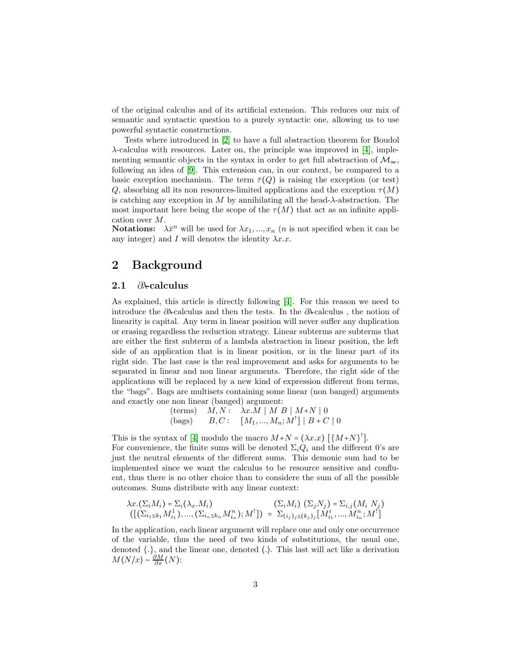of the original calculus and of its artificial extension. This reduces our mix of semantic and syntactic question to a purely syntactic one, allowing us to use powerful syntactic constructions.

Tests where introduced in [\[2\]](#page-6-1) to have a full abstraction theorem for Boudol  $\lambda$ -calculus with resources. Later on, the principle was improved in [\[4\]](#page-7-0), implementing semantic objects in the syntax in order to get full abstraction of  $\mathcal{M}_{\infty}$ , following an idea of [\[9\]](#page-7-8). This extension can, in our context, be compared to a basic exception mechanism. The term  $\bar{\tau}(Q)$  is raising the exception (or test) Q, absorbing all its non resources-limited applications and the exception  $\tau(M)$ is catching any exception in M by annihilating all the head- $\lambda$ -abstraction. The most important here being the scope of the  $\tau(M)$  that act as an infinite application over M.

**Notations:**  $\lambda \bar{x}^n$  will be used for  $\lambda x_1, ..., x_n$  (*n* is not specified when it can be any integer) and I will denotes the identity  $\lambda x.x$ .

# 2 Background

#### 2.1 ∂λ-calculus

As explained, this article is directly following [\[4\]](#page-7-0). For this reason we need to introduce the ∂λ-calculus and then the tests. In the ∂λ-calculus, the notion of linearity is capital. Any term in linear position will never suffer any duplication or erasing regardless the reduction strategy. Linear subterms are subterms that are either the first subterm of a lambda abstraction in linear position, the left side of an application that is in linear position, or in the linear part of its right side. The last case is the real improvement and asks for arguments to be separated in linear and non linear arguments. Therefore, the right side of the applications will be replaced by a new kind of expression different from terms, the "bags". Bags are multisets containing some linear (non banged) arguments and exactly one non linear (banged) argument:

$$
\begin{array}{ll}\n\text{(terms)} & \hat{M}, N: \quad \lambda x.\bar{M} \mid M \mid B \mid M+N \mid 0 \\
\text{(bags)} & \hat{B}, C: \quad [M_1, \dots, M_n; M^!] \mid B+C \mid 0\n\end{array}
$$

This is the syntax of [\[4\]](#page-7-0) modulo the macro  $M+N = (\lambda x.x) [\{M+N\}^!]$ . For convenience, the finite sums will be denoted  $\Sigma_i Q_i$  and the different 0's are just the neutral elements of the different sums. This demonic sum had to be implemented since we want the calculus to be resource sensitive and confluent, thus there is no other choice than to considere the sum of all the possible outcomes. Sums distribute with any linear context:

$$
\lambda x.(\Sigma_i M_i) = \Sigma_i (\lambda_x. M_i) \qquad (\Sigma_i M_i) \ (\Sigma_j N_j) = \Sigma_{i,j} (M_i N_j) ([(\Sigma_{i1 \le k_1} M_{i_1}^1), ..., (\Sigma_{i_n \le k_n} M_{i_n}^n); M^!]) = \Sigma_{(i_j)_j \le (k_j)_j} [M_{i_1}^i, ..., M_{i_n}^n; M^!]
$$

In the application, each linear argument will replace one and only one occurrence of the variable, thus the need of two kinds of substitutions, the usual one, denoted {.}, and the linear one, denoted ⟨.⟩. This last will act like a derivation  $M\langle N/x \rangle \sim \frac{\partial M}{\partial x}(N)$ :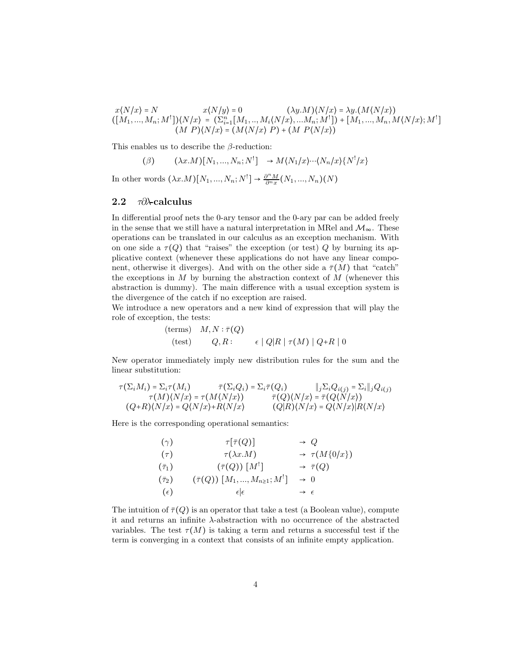$x\langle N/x\rangle = N$   $x\langle N/y\rangle = 0$   $(\lambda y.M)\langle N/x\rangle = \lambda y.(M\langle N/x\rangle)$  $([M_1, ..., M_n; M^!])\langle N/x \rangle = (\sum_{i=1}^n [M_1, ..., M_i \langle N/x \rangle, ... M_n; M^!]) + [M_1, ..., M_n, M \langle N/x \rangle; M^!]$  $(M P)\langle N/x \rangle = (M\langle N/x \rangle P) + (M P\langle N/x \rangle)$ 

This enables us to describe the  $\beta$ -reduction:

$$
\text{(}\beta \text{)} \qquad \text{(}\lambda x.M\text{)}\text{[}N_1,...,N_n;N^!\text{]} \qquad \rightarrow M\text{(}N_1/x\text{)} \cdots \text{(}N_n/x\text{)}\text{[}N^!\text{/}x\text{]}
$$

In other words  $(\lambda x.M)[N_1, ..., N_n; N^!] \rightarrow \frac{\partial^n M}{\partial^n x}(N_1, ..., N_n)(N)$ 

#### 2.2  $\tau \partial \lambda$ -calculus

In differential proof nets the 0-ary tensor and the 0-ary par can be added freely in the sense that we still have a natural interpretation in MRel and  $\mathcal{M}_{\infty}$ . These operations can be translated in our calculus as an exception mechanism. With on one side a  $\tau(Q)$  that "raises" the exception (or test) Q by burning its applicative context (whenever these applications do not have any linear component, otherwise it diverges). And with on the other side a  $\bar{\tau}(M)$  that "catch" the exceptions in M by burning the abstraction context of M (whenever this abstraction is dummy). The main difference with a usual exception system is the divergence of the catch if no exception are raised.

We introduce a new operators and a new kind of expression that will play the role of exception, the tests:

$$
\begin{array}{ll}\n \text{(terms)} & M, N: \bar{\tau}(Q) \\
 \text{(test)} & Q, R: & \epsilon \mid Q|R \mid \tau(M) \mid Q + R \mid 0\n \end{array}
$$

New operator immediately imply new distribution rules for the sum and the linear substitution:

$$
\tau(\Sigma_i M_i) = \Sigma_i \tau(M_i) \qquad \qquad \bar{\tau}(\Sigma_i Q_i) = \Sigma_i \bar{\tau}(Q_i) \qquad \|j \Sigma_i Q_{i(j)} = \Sigma_i\|_j Q_{i(j)}
$$

$$
\tau(M)(N/x) = \tau(M(N/x)) \qquad \qquad \bar{\tau}(Q)(N/x) = \bar{\tau}(Q(N/x))
$$

$$
(Q+R)(N/x) = Q(N/x) + R(N/x) \qquad (Q|R)(N/x) = Q(N/x)|R(N/x)
$$

Here is the corresponding operational semantics:

$$
(\gamma) \qquad \tau[\bar{\tau}(Q)] \qquad \rightarrow Q
$$
  
\n
$$
(\tau) \qquad \tau(\lambda x.M) \qquad \rightarrow \tau(M\{0/x\})
$$
  
\n
$$
(\bar{\tau}_1) \qquad (\bar{\tau}(Q)) [M^!] \qquad \rightarrow \bar{\tau}(Q)
$$
  
\n
$$
(\bar{\tau}_2) \qquad (\bar{\tau}(Q)) [M_1, ..., M_{n \ge 1}; M^!] \qquad \rightarrow 0
$$
  
\n
$$
(\epsilon) \qquad \epsilon | \epsilon \qquad \rightarrow \epsilon
$$

The intuition of  $\bar{\tau}(Q)$  is an operator that take a test (a Boolean value), compute it and returns an infinite  $\lambda$ -abstraction with no occurrence of the abstracted variables. The test  $\tau(M)$  is taking a term and returns a successful test if the term is converging in a context that consists of an infinite empty application.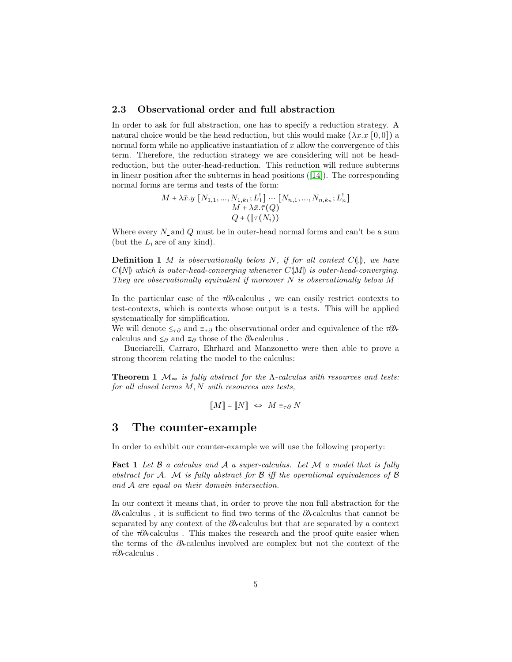#### 2.3 Observational order and full abstraction

In order to ask for full abstraction, one has to specify a reduction strategy. A natural choice would be the head reduction, but this would make  $(\lambda x.x [0, 0])$  a normal form while no applicative instantiation of  $x$  allow the convergence of this term. Therefore, the reduction strategy we are considering will not be headreduction, but the outer-head-reduction. This reduction will reduce subterms in linear position after the subterms in head positions([\[14\]](#page-7-9)). The corresponding normal forms are terms and tests of the form:

$$
M + \lambda \bar{x}.y [N_{1,1},..., N_{1,k_1}; L_1^1] \cdots [N_{n,1},..., N_{n,k_n}; L_n^1] \n M + \lambda \bar{x}.\bar{\tau}(Q) \n Q + (\|\tau(N_i))
$$

Where every  $N$  and  $Q$  must be in outer-head normal forms and can't be a sum (but the  $L_i$  are of any kind).

**Definition 1** M is observationally below N, if for all context  $C(\mathbb{I})$ , we have  $C(N)$  which is outer-head-converging whenever  $C(M)$  is outer-head-converging. They are observationally equivalent if moreover  $N$  is observationally below  $M$ 

In the particular case of the τ∂λ-calculus , we can easily restrict contexts to test-contexts, which is contexts whose output is a tests. This will be applied systematically for simplification.

We will denote  $\leq_{\tau\partial}$  and  $\equiv_{\tau\partial}$  the observational order and equivalence of the  $\tau\partial\lambda$ calculus and  $\leq_\partial$  and  $\equiv_\partial$  those of the  $\partial\lambda$  calculus .

Bucciarelli, Carraro, Ehrhard and Manzonetto were then able to prove a strong theorem relating the model to the calculus:

**Theorem 1**  $\mathcal{M}_{\infty}$  is fully abstract for the  $\Lambda$ -calculus with resources and tests: for all closed terms  $M, N$  with resources ans tests,

$$
[\![M]\!] = [\![N]\!] \ \Leftrightarrow \ M \equiv_{\tau\partial} N
$$

# 3 The counter-example

In order to exhibit our counter-example we will use the following property:

**Fact 1** Let  $\beta$  a calculus and  $\beta$  a super-calculus. Let  $\beta$  a model that is fully abstract for A. M is fully abstract for  $\mathcal B$  iff the operational equivalences of  $\mathcal B$ and A are equal on their domain intersection.

In our context it means that, in order to prove the non full abstraction for the ∂λ-calculus , it is sufficient to find two terms of the ∂λ-calculus that cannot be separated by any context of the ∂λ-calculus but that are separated by a context of the  $\tau \partial \lambda$ -calculus. This makes the research and the proof quite easier when the terms of the ∂λ-calculus involved are complex but not the context of the τ∂λ-calculus .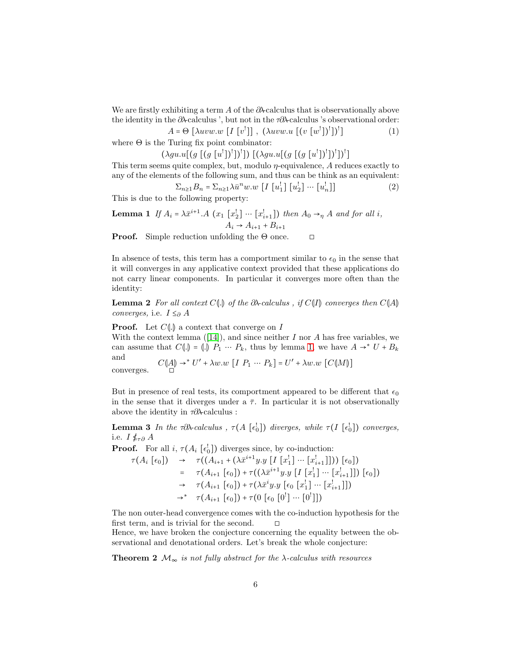We are firstly exhibiting a term A of the  $\partial \lambda$ -calculus that is observationally above the identity in the ∂λ-calculus ', but not in the  $\tau \partial \lambda$ -calculus 's observational order:

$$
A = \Theta \left[ \lambda uvw.w \left[ I \left[ v^! \right] \right], \left( \lambda uvw.u \left[ \left( v \left[ w^! \right] \right)^! \right] \right)^! \right] \tag{1}
$$

where  $\Theta$  is the Turing fix point combinator:

 $(\lambda gu.u[(g [(g [u<sup>1</sup>])<sup>1</sup>])<sup>1</sup>]) [(\lambda gu.u[(g [(g [u<sup>1</sup>])<sup>1</sup>])<sup>1</sup>])<sup>1</sup>]$ 

This term seems quite complex, but, modulo *η*-equivalence, A reduces exactly to any of the elements of the following sum, and thus can be think as an equivalent:

$$
\Sigma_{n\geq 1}B_n = \Sigma_{n\geq 1}\lambda \bar{u}^n w.w \begin{bmatrix} I \begin{bmatrix} u_1^! \\ u_2^! \end{bmatrix} \cdots \begin{bmatrix} u_n^! \\ u_n^! \end{bmatrix} \end{bmatrix} \tag{2}
$$

<span id="page-5-0"></span>This is due to the following property:

**Lemma 1** If  $A_i = \lambda \bar{x}^{i+1} \cdot A$   $(x_1 \left[ x_2^{\dagger} \right] \cdots \left[ x_{i+1}^{\dagger} \right])$  then  $A_0 \rightarrow_{\eta} A$  and for all i,  $A_i \to A_{i+1} + B_{i+1}$ 

**Proof.** Simple reduction unfolding the  $\Theta$  once.  $\Box$ 

In absence of tests, this term has a comportment similar to  $\epsilon_0$  in the sense that it will converges in any applicative context provided that these applications do not carry linear components. In particular it converges more often than the identity:

**Lemma 2** For all context C $\langle \cdot | \cdot \rangle$  of the  $\partial \lambda$ -calculus, if C $\langle I | \cdot \rangle$  converges then C $\langle A | \cdot \rangle$ converges, i.e.  $I \leq_{\partial} A$ 

**Proof.** Let  $C\llbracket .\rrbracket$  a context that converge on I Withthe context lemma  $([14])$  $([14])$  $([14])$ , and since neither I nor A has free variables, we can assume that  $C(\mathbf{I}) = (\mathbf{I}) P_1 \cdots P_k$ , thus by lemma [1,](#page-5-0) we have  $A \rightarrow^* U + B_k$ and  $C(\mathcal{A}) \to^* U' + \lambda w.w \, [I \ P_1 \ \cdots \ P_k] = U' + \lambda w.w \, [C(\mathcal{M})]$ converges. ◻

But in presence of real tests, its comportment appeared to be different that  $\epsilon_0$ in the sense that it diverges under a  $\bar{\tau}$ . In particular it is not observationally above the identity in  $\tau \partial \lambda$ -calculus :

**Lemma 3** In the  $\tau \partial \lambda$ -calculus,  $\tau(A \begin{bmatrix} \epsilon_0^{\dagger} \end{bmatrix})$  diverges, while  $\tau(I \begin{bmatrix} \epsilon_0^{\dagger} \end{bmatrix})$  converges, i.e.  $I \nleq_{\tau \partial} A$ 

**Proof.** For all  $i$ ,  $\tau(A_i \begin{bmatrix} \epsilon_0^1 \end{bmatrix})$  diverges since, by co-induction:  $\tau(A_i \; [\epsilon_0]) \quad \rightarrow \quad \tau((A_{i+1} + (\lambda \bar{x}^{i+1} y.y \; [I \; [x_1^1] \cdots [x_{i+1}^1]])) \; [\epsilon_0])$ =  $\tau(A_{i+1} [\epsilon_0]) + \tau((\lambda \bar{x}^{i+1} y.y [I [x]_1] \cdots [x]_{i+1}]) [\epsilon_0])$  $\rightarrow \quad \tau(A_{i+1} [\epsilon_0]) + \tau(\lambda \bar{x}^i y \cdot y [\epsilon_0 [x_1^1] \cdots [x_{i+1}^l]])$  $\rightarrow^*$   $\tau(A_{i+1} [\epsilon_0]) + \tau(0 [\epsilon_0 [0^!] \cdots [0^!])$ 

The non outer-head convergence comes with the co-induction hypothesis for the first term, and is trivial for the second.  $□$ 

Hence, we have broken the conjecture concerning the equality between the observational and denotational orders. Let's break the whole conjecture:

**Theorem 2**  $\mathcal{M}_{\infty}$  is not fully abstract for the  $\lambda$ -calculus with resources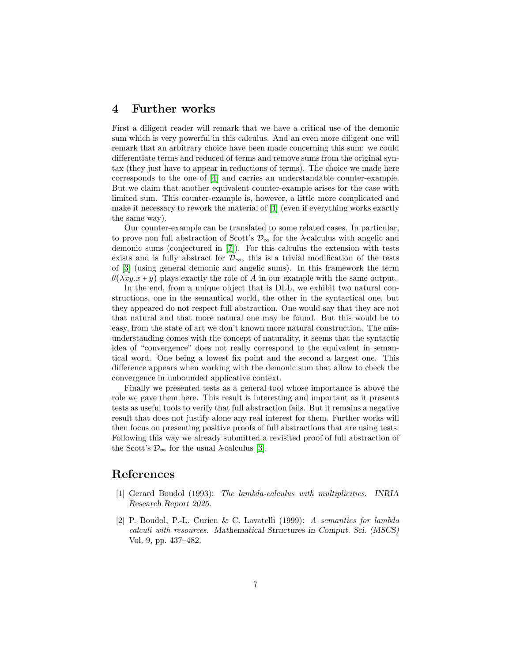### 4 Further works

First a diligent reader will remark that we have a critical use of the demonic sum which is very powerful in this calculus. And an even more diligent one will remark that an arbitrary choice have been made concerning this sum: we could differentiate terms and reduced of terms and remove sums from the original syntax (they just have to appear in reductions of terms). The choice we made here corresponds to the one of [\[4\]](#page-7-0) and carries an understandable counter-example. But we claim that another equivalent counter-example arises for the case with limited sum. This counter-example is, however, a little more complicated and make it necessary to rework the material of [\[4\]](#page-7-0) (even if everything works exactly the same way).

Our counter-example can be translated to some related cases. In particular, to prove non full abstraction of Scott's  $\mathcal{D}_{\infty}$  for the  $\lambda$ -calculus with angelic and demonic sums (conjectured in [\[7\]](#page-7-10)). For this calculus the extension with tests exists and is fully abstract for  $\mathcal{D}_{\infty}$ , this is a trivial modification of the tests of [\[3\]](#page-7-11) (using general demonic and angelic sums). In this framework the term  $\theta(\lambda xy.x + y)$  plays exactly the role of A in our example with the same output.

In the end, from a unique object that is DLL, we exhibit two natural constructions, one in the semantical world, the other in the syntactical one, but they appeared do not respect full abstraction. One would say that they are not that natural and that more natural one may be found. But this would be to easy, from the state of art we don't known more natural construction. The misunderstanding comes with the concept of naturality, it seems that the syntactic idea of "convergence" does not really correspond to the equivalent in semantical word. One being a lowest fix point and the second a largest one. This difference appears when working with the demonic sum that allow to check the convergence in unbounded applicative context.

Finally we presented tests as a general tool whose importance is above the role we gave them here. This result is interesting and important as it presents tests as useful tools to verify that full abstraction fails. But it remains a negative result that does not justify alone any real interest for them. Further works will then focus on presenting positive proofs of full abstractions that are using tests. Following this way we already submitted a revisited proof of full abstraction of the Scott's  $\mathcal{D}_{\infty}$  for the usual  $\lambda$ -calculus [\[3\]](#page-7-11).

### <span id="page-6-0"></span>References

- [1] Gerard Boudol (1993): The lambda-calculus with multiplicities. *INRIA Research Report 2025*.
- <span id="page-6-1"></span>[2] P. Boudol, P.-L. Curien & C. Lavatelli (1999): A semantics for lambda calculi with resources. *Mathematical Structures in Comput. Sci. (MSCS)* Vol. 9, pp. 437–482.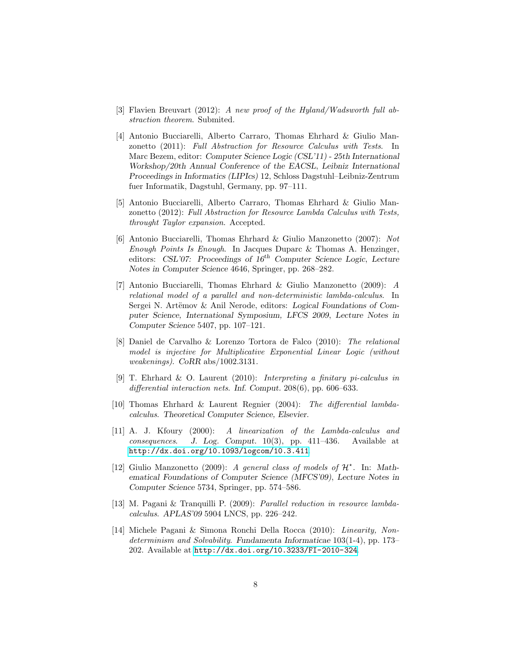- <span id="page-7-11"></span><span id="page-7-0"></span>[3] Flavien Breuvart (2012): A new proof of the Hyland/Wadsworth full abstraction theorem. Submited.
- [4] Antonio Bucciarelli, Alberto Carraro, Thomas Ehrhard & Giulio Manzonetto (2011): Full Abstraction for Resource Calculus with Tests. In Marc Bezem, editor: *Computer Science Logic (CSL'11) - 25th International Workshop/20th Annual Conference of the EACSL*, *Leibniz International Proceedings in Informatics (LIPIcs)* 12, Schloss Dagstuhl–Leibniz-Zentrum fuer Informatik, Dagstuhl, Germany, pp. 97–111.
- <span id="page-7-6"></span>[5] Antonio Bucciarelli, Alberto Carraro, Thomas Ehrhard & Giulio Manzonetto (2012): Full Abstraction for Resource Lambda Calculus with Tests, throught Taylor expansion. Accepted.
- <span id="page-7-4"></span>[6] Antonio Bucciarelli, Thomas Ehrhard & Giulio Manzonetto (2007): Not Enough Points Is Enough. In Jacques Duparc  $\&$  Thomas A. Henzinger, editors: *CSL'07: Proceedings of 16*th *Computer Science Logic*, *Lecture Notes in Computer Science* 4646, Springer, pp. 268–282.
- <span id="page-7-10"></span>[7] Antonio Bucciarelli, Thomas Ehrhard & Giulio Manzonetto (2009): A relational model of a parallel and non-deterministic lambda-calculus. In Sergei N. Artëmov & Anil Nerode, editors: *Logical Foundations of Computer Science, International Symposium, LFCS 2009*, *Lecture Notes in Computer Science* 5407, pp. 107–121.
- <span id="page-7-3"></span>[8] Daniel de Carvalho & Lorenzo Tortora de Falco (2010): The relational model is injective for Multiplicative Exponential Linear Logic (without weakenings). *CoRR* abs/1002.3131.
- <span id="page-7-8"></span>[9] T. Ehrhard & O. Laurent (2010): Interpreting a finitary pi-calculus in differential interaction nets. *Inf. Comput.* 208(6), pp. 606–633.
- <span id="page-7-1"></span>[10] Thomas Ehrhard & Laurent Regnier (2004): The differential lambdacalculus. *Theoretical Computer Science, Elsevier*.
- <span id="page-7-7"></span>[11] A. J. Kfoury (2000): A linearization of the Lambda-calculus and consequences. *J. Log. Comput.* 10(3), pp. 411–436. Available at <http://dx.doi.org/10.1093/logcom/10.3.411>.
- <span id="page-7-5"></span>[12] Giulio Manzonetto (2009): A general class of models of  $\mathcal{H}^*$ . In: Math*ematical Foundations of Computer Science (MFCS'09)*, *Lecture Notes in Computer Science* 5734, Springer, pp. 574–586.
- <span id="page-7-2"></span>[13] M. Pagani & Tranquilli P. (2009): Parallel reduction in resource lambdacalculus. *APLAS'09* 5904 LNCS, pp. 226–242.
- <span id="page-7-9"></span>[14] Michele Pagani & Simona Ronchi Della Rocca (2010): Linearity, Nondeterminism and Solvability. *Fundamenta Informaticae* 103(1-4), pp. 173– 202. Available at <http://dx.doi.org/10.3233/FI-2010-324>.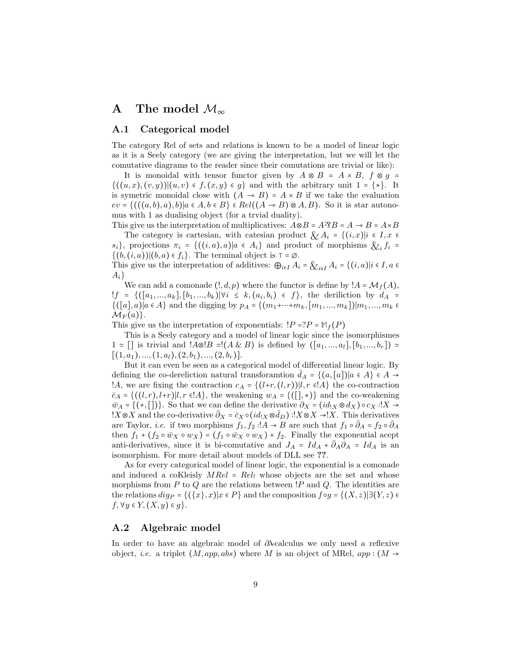# A The model  $\mathcal{M}_{\infty}$

#### A.1 Categorical model

The category Rel of sets and relations is known to be a model of linear logic as it is a Seely category (we are giving the interpretation, but we will let the comutative diagrams to the reader since their comutations are trivial or like):

It is monoidal with tensor functor given by  $A \otimes B = A \times B$ ,  $f \otimes g =$  $\{(u, x), (v, y)) | (u, v) \in f, (x, y) \in g\}$  and with the arbitrary unit  $1 = \{*\}.$  It is symetric monoidal close with  $(A \rightarrow B) = A \times B$  if we take the evaluation  $ev = \{((a, b), a), b\}|a \in A, b \in B\} \in Rel((A \multimap B) \otimes A, B)$ . So it is star autonomus with 1 as dualising object (for a trvial duality).

This give us the interpretation of multiplicatives:  $A \otimes B = A \otimes B = A \rightarrow B = A \times B$ The category is cartesian, with catesian product  $\mathcal{X}_i A_i = \{(i, x)|i \in I, x \in I\}$  $s_i$ , projections  $\pi_i = \{((i, a), a) | a \in A_i\}$  and product of morphisms  $\ξ_i f_i =$  $\{(b, (i, a))|(b, a) \in f_i\}$ . The terminal object is  $\tau = \emptyset$ .

This give us the interpretation of additives:  $\bigoplus_{i\in I} A_i = \bigotimes_{i\in I} A_i = \{(i, a)|i \in I, a \in I\}$  $A_i\}$ 

We can add a comonade  $(l, d, p)$  where the functor is define by  $'A = \mathcal{M}_f(A)$ , !f = {([a<sub>1</sub>,...,a<sub>k</sub>],[b<sub>1</sub>,...,b<sub>k</sub>)|∀i ≤ k,(a<sub>i</sub>,b<sub>i</sub>) ∈ f}, the deriliction by  $d_A$  =  $\{([a], a)|a \in A\}$  and the digging by  $p_A = \{(m_1 + \cdots + m_k, [m_1, ..., m_k])|m_1, ..., m_k\}$  $\mathcal{M}_F(a)$ .

This give us the interpretation of exponentials:  $P = ?P = M_f(P)$ 

This is a Seely category and a model of linear logic since the isomorphismes  $1 \approx \lceil \rceil$  is trivial and  $!A\otimes B \cong (A \& B)$  is defined by  $([a_1, ..., a_l], [b_1, ..., b_r]) \cong$  $[(1, a_1), ..., (1, a_l), (2, b_1), ..., (2, b_r)].$ 

But it can even be seen as a categorical model of differential linear logic. By defining the co-dereliction natural transforamtion  $d_A = \{(a, [a]) | a \in A\} \in A \rightarrow$ !A, we are fixing the contraction  $c_A = \{(l+r, (l, r)) | l, r \in A\}$  the co-contraction  $\bar{c}_A = \{((l, r), l+r)|l, r \in A\}$ , the weakening  $w_A = \{([\cdot], \cdot)\}$  and the co-weakening  $\overline{w}_A = \{(*,[])\}$ . So that we can define the derivative  $\partial_X = (id_{!X} \otimes d_X) \circ c_X : X \to Y$ !X⊗X and the co-derivative  $\bar{\partial}_X = \bar{c}_X \circ (id_{!X} \otimes \bar{d}_D) : X \otimes X \to X$ . This derivatives are Taylor, *i.e.* if two morphisms  $f_1, \hat{f}_2$  :! $A \to B$  are such that  $f_1 \circ \bar{\partial}_A = f_2 \circ \bar{\partial}_A$ then  $f_1 + (f_2 \circ \bar{w}_X \circ w_X) = (f_1 \circ \bar{w}_X \circ w_X) + f_2$ . Finally the exponential acept anti-derivatives, since it is bi-comutative and  $J_A = Id_A + \overline{\partial}_A \partial_A = Id_A$  is an isomorphism. For more detail about models of DLL see ??.

As for every categorical model of linear logic, the exponential is a comonade and induced a coKleisly  $MRel = Rel$  whose objects are the set and whose morphisms from  $P$  to  $Q$  are the relations between  $P$  and  $Q$ . The identities are the relations  $dig_P = \{(\{x\},x)|x \in P\}$  and the composition  $f \circ g = \{(X,z)|\exists (Y,z) \in P\}$  $f, \forall y \in Y, (X, y) \in g$ .

#### A.2 Algebraic model

In order to have an algebraic model of ∂λ-calculus we only need a reflexive object, *i.e.* a triplet  $(M, app, abs)$  where M is an object of MRel,  $app:(M \rightarrow$